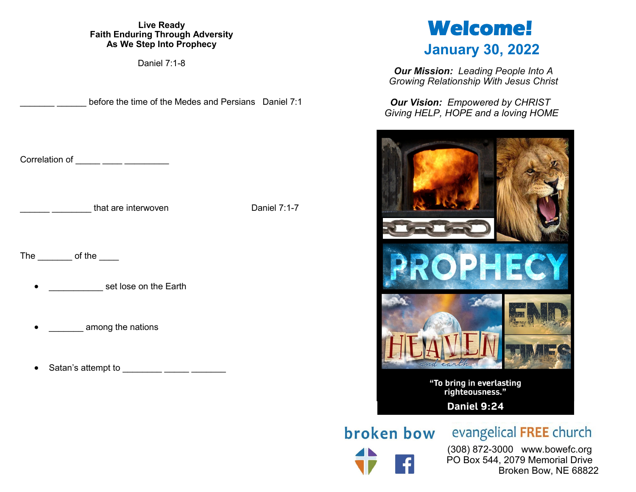# **Live Ready Faith Enduring Through Adversity As We Step Into Prophecy**

Daniel 7:1-8

before the time of the Medes and Persians Daniel 7:1

Correlation of  $\_\_\_\_\_\_\_\_\_\_\_\_\_\_\_$ 

that are interwoven Daniel 7:1-7

The  $\qquad$  of the  $\qquad$ 

set lose on the Earth

among the nations

Satan's attempt to **Example 1** 

# **Welcome! January 30, 2022**

*Our Mission: Leading People Into A Growing Relationship With Jesus Christ*

*Our Vision: Empowered by CHRIST Giving HELP, HOPE and a loving HOME*



**broken bow** evangelical FREE church

 (308) 872-3000 www.bowefc.org PO Box 544, 2079 Memorial Drive Broken Bow, NE 68822